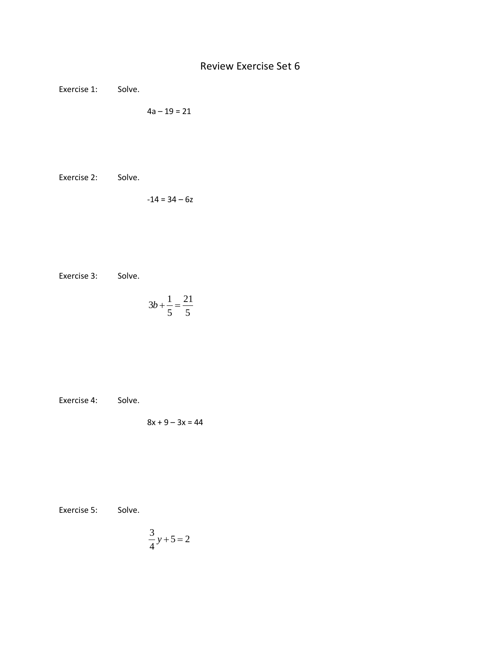Exercise 1: Solve.

$$
4a-19=21
$$

Exercise 2: Solve.

 $-14 = 34 - 6z$ 

Exercise 3: Solve.

$$
3b + \frac{1}{5} = \frac{21}{5}
$$

Exercise 4: Solve.

$$
8x + 9 - 3x = 44
$$

Exercise 5: Solve.

$$
\frac{3}{4}y+5=2
$$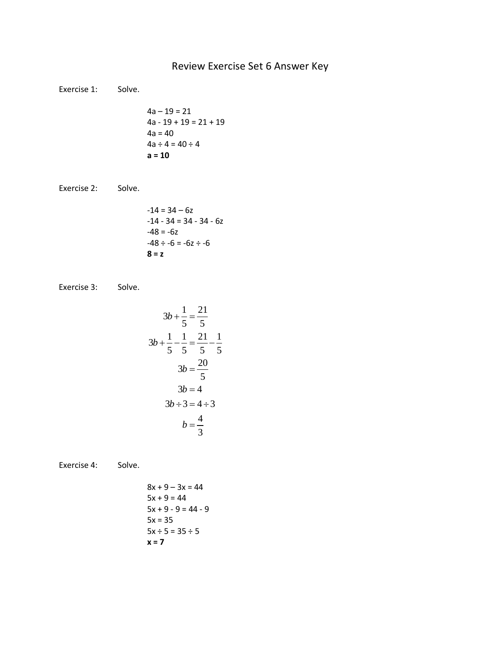## Review Exercise Set 6 Answer Key

Exercise 1: Solve.

$$
4a - 19 = 21
$$
  
\n
$$
4a - 19 + 19 = 21 + 19
$$
  
\n
$$
4a = 40
$$
  
\n
$$
4a \div 4 = 40 \div 4
$$
  
\n
$$
a = 10
$$

Exercise 2: Solve.

$$
-14 = 34 - 6z
$$
  
\n
$$
-14 - 34 = 34 - 34 - 6z
$$
  
\n
$$
-48 = -6z
$$
  
\n
$$
-48 \div -6 = -6z \div -6
$$
  
\n
$$
8 = z
$$

Exercise 3: Solve.

$$
3b + \frac{1}{5} = \frac{21}{5}
$$
  
\n
$$
3b + \frac{1}{5} - \frac{1}{5} = \frac{21}{5} - \frac{1}{5}
$$
  
\n
$$
3b = \frac{20}{5}
$$
  
\n
$$
3b = 4
$$
  
\n
$$
3b \div 3 = 4 \div 3
$$
  
\n
$$
b = \frac{4}{3}
$$

Exercise 4: Solve.

 $8x + 9 - 3x = 44$  $5x + 9 = 44$  $5x + 9 - 9 = 44 - 9$  $5x = 35$ 

**x = 7**

 $5x \div 5 = 35 \div 5$